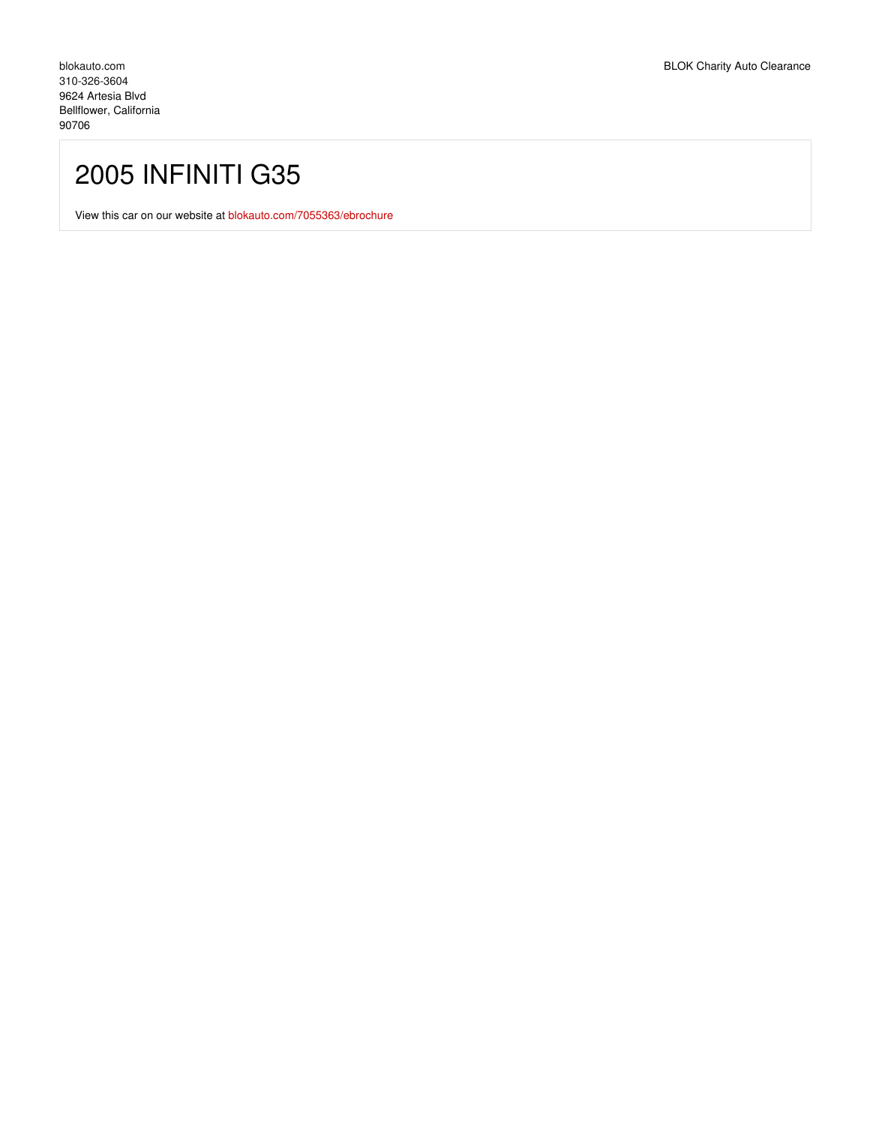## 2005 INFINITI G35

View this car on our website at [blokauto.com/7055363/ebrochure](https://blokauto.com/vehicle/7055363/2005-infiniti-g35-bellflower-california-90706/7055363/ebrochure)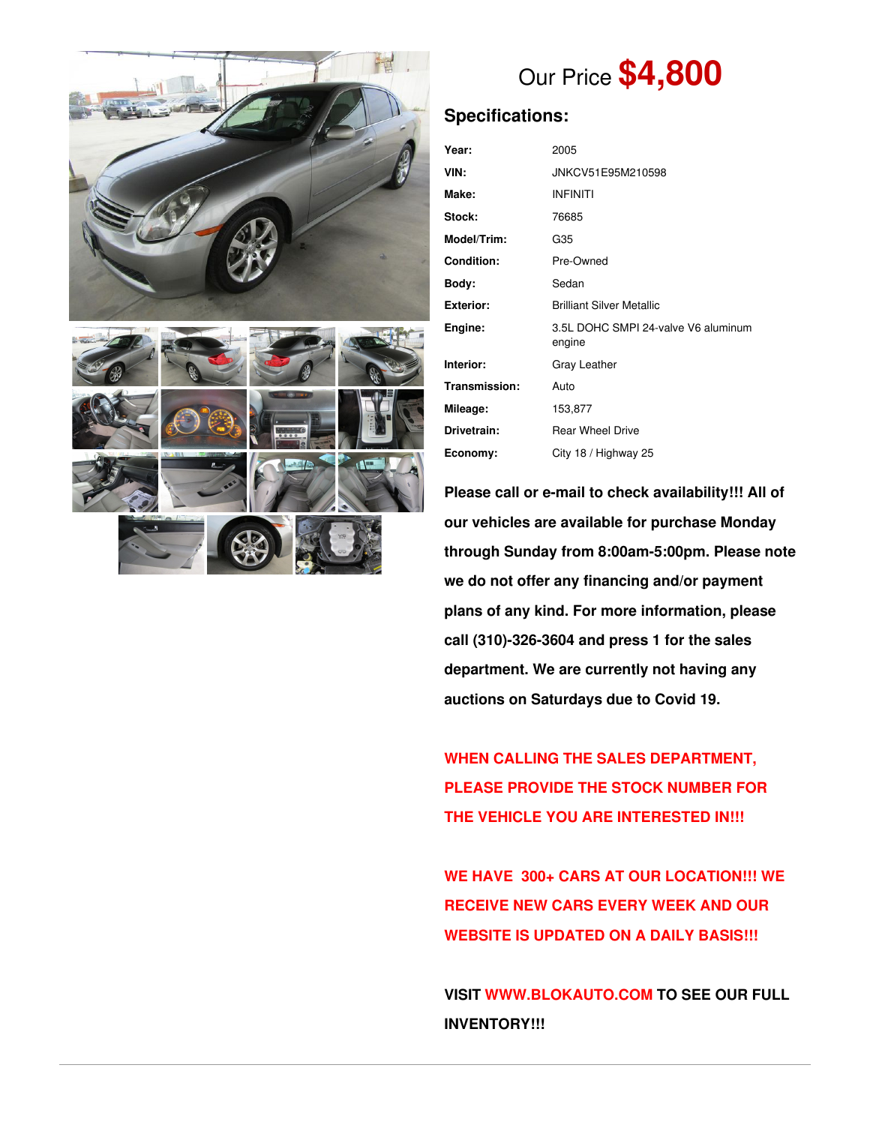



# Our Price **\$4,800**

## **Specifications:**

| Year:             | 2005                                          |  |  |  |  |
|-------------------|-----------------------------------------------|--|--|--|--|
| VIN:              | JNKCV51E95M210598                             |  |  |  |  |
| Make:             | <b>INFINITI</b>                               |  |  |  |  |
| Stock:            | 76685                                         |  |  |  |  |
| Model/Trim:       | G35                                           |  |  |  |  |
| <b>Condition:</b> | Pre-Owned                                     |  |  |  |  |
| Body:             | Sedan                                         |  |  |  |  |
| <b>Exterior:</b>  | <b>Brilliant Silver Metallic</b>              |  |  |  |  |
| Engine:           | 3.5L DOHC SMPI 24-valve V6 aluminum<br>engine |  |  |  |  |
| Interior:         | Gray Leather                                  |  |  |  |  |
| Transmission:     | Auto                                          |  |  |  |  |
| Mileage:          | 153,877                                       |  |  |  |  |
| Drivetrain:       | <b>Rear Wheel Drive</b>                       |  |  |  |  |
| Economy:          | City 18 / Highway 25                          |  |  |  |  |

**Please call or e-mail to check availability!!! All of our vehicles are available for purchase Monday through Sunday from 8:00am-5:00pm. Please note we do not offer any financing and/or payment plans of any kind. For more information, please call (310)-326-3604 and press 1 for the sales department. We are currently not having any auctions on Saturdays due to Covid 19.**

**WHEN CALLING THE SALES DEPARTMENT, PLEASE PROVIDE THE STOCK NUMBER FOR THE VEHICLE YOU ARE INTERESTED IN!!!**

**WE HAVE 300+ CARS AT OUR LOCATION!!! WE RECEIVE NEW CARS EVERY WEEK AND OUR WEBSITE IS UPDATED ON A DAILY BASIS!!!**

**VISIT [WWW.BLOKAUTO.COM](http://www.blockauto.com) TO SEE OUR FULL INVENTORY!!!**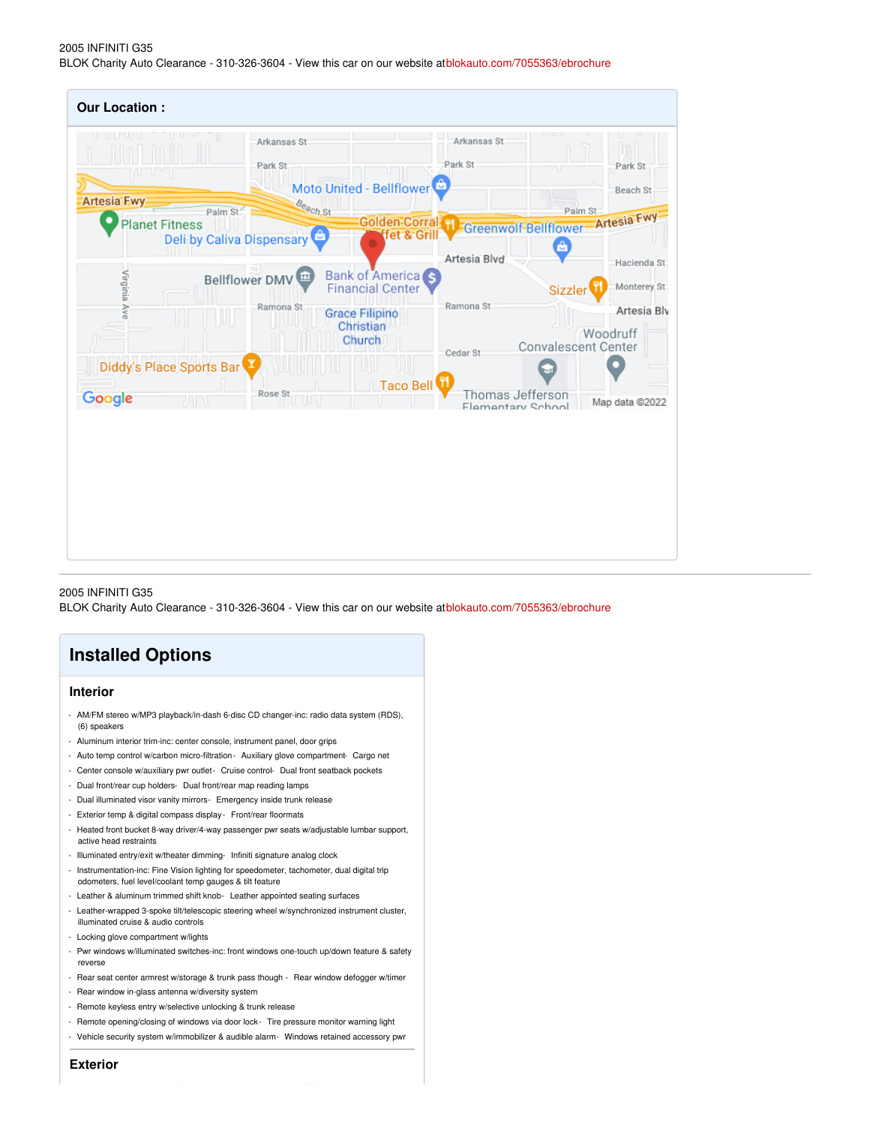#### 2005 INFINITI G35 BLOK Charity Auto Clearance - 310-326-3604 - View this car on our website at[blokauto.com/7055363/ebrochure](https://blokauto.com/vehicle/7055363/2005-infiniti-g35-bellflower-california-90706/7055363/ebrochure)

| U U U U U                |                                      | Arkansas St    |                                                   | Arkansas St                           | $\lfloor$ nn $\lfloor$                                             |              |
|--------------------------|--------------------------------------|----------------|---------------------------------------------------|---------------------------------------|--------------------------------------------------------------------|--------------|
| n v v v                  |                                      | Park St        |                                                   | Park St                               | Park St                                                            |              |
| <b>Artesia-Fwy</b>       |                                      |                | Moto United - Bellflower                          |                                       | Beach St                                                           |              |
| <b>Planet Fitness</b>    | Palm St<br>Deli by Caliva Dispensary | Beach St       | fet & Grill<br>o                                  |                                       | Palm St<br><b>Colden Corral 1 Greenwolf Bellflower Artesia Fwy</b> |              |
|                          |                                      |                |                                                   | Artesia Blvd                          |                                                                    | Hacienda St  |
| Virginia Ave             |                                      | Bellflower DMV | <b>Bank of America</b><br><b>Financial Center</b> |                                       | <b>Sizzler</b>                                                     | Monterey St: |
|                          |                                      | Ramona St      | <b>Grace Filipino</b>                             | Ramona St                             |                                                                    | Artesia Bly  |
|                          |                                      |                | Christian<br>Church                               | Cedar St                              | Woodruff<br><b>Convalescent Center</b>                             |              |
| Diddy's Place Sports Bar |                                      |                |                                                   |                                       |                                                                    |              |
| Google                   | ZΠ                                   | Rose St<br>w   | Taco Bell                                         | Thomas Jefferson<br>Flamentary School | Map data @2022                                                     |              |
|                          |                                      |                |                                                   |                                       |                                                                    |              |
|                          |                                      |                |                                                   |                                       |                                                                    |              |
|                          |                                      |                |                                                   |                                       |                                                                    |              |
|                          |                                      |                |                                                   |                                       |                                                                    |              |
|                          |                                      |                |                                                   |                                       |                                                                    |              |

#### 2005 INFINITI G35

BLOK Charity Auto Clearance - 310-326-3604 - View this car on our website at[blokauto.com/7055363/ebrochure](https://blokauto.com/vehicle/7055363/2005-infiniti-g35-bellflower-california-90706/7055363/ebrochure)

### **Installed Options**

#### **Interior**

- AM/FM stereo w/MP3 playback/in-dash 6-disc CD changer-inc: radio data system (RDS), (6) speakers
- Aluminum interior trim-inc: center console, instrument panel, door grips
- Auto temp control w/carbon micro-filtration Auxiliary glove compartment- Cargo net
- Center console w/auxiliary pwr outlet- Cruise control- Dual front seatback pockets
- Dual front/rear cup holders- Dual front/rear map reading lamps
- Dual illuminated visor vanity mirrors- Emergency inside trunk release
- Exterior temp & digital compass display Front/rear floormats
- Heated front bucket 8-way driver/4-way passenger pwr seats w/adjustable lumbar support, active head restraints
- Illuminated entry/exit w/theater dimming- Infiniti signature analog clock
- Instrumentation-inc: Fine Vision lighting for speedometer, tachometer, dual digital trip odometers, fuel level/coolant temp gauges & tilt feature
- Leather & aluminum trimmed shift knob- Leather appointed seating surfaces
- Leather-wrapped 3-spoke tilt/telescopic steering wheel w/synchronized instrument cluster, illuminated cruise & audio controls
- Locking glove compartment w/lights
- Pwr windows w/illuminated switches-inc: front windows one-touch up/down feature & safety reverse
- Rear seat center armrest w/storage & trunk pass though Rear window defogger w/timer - Rear window in-glass antenna w/diversity system
- Remote keyless entry w/selective unlocking & trunk release
- 
- Remote opening/closing of windows via door lock- Tire pressure monitor warning light
- Vehicle security system w/immobilizer & audible alarm- Windows retained accessory pwr

**Exterior**